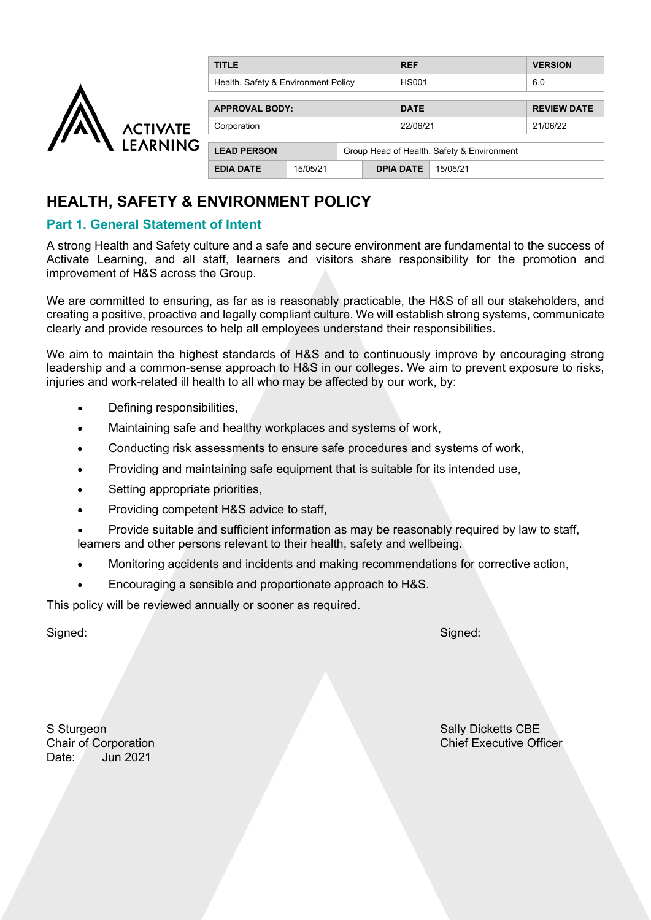|                 | <b>TITLE</b>                        |                                            |  | <b>REF</b>       |          | <b>VERSION</b>     |
|-----------------|-------------------------------------|--------------------------------------------|--|------------------|----------|--------------------|
|                 | Health, Safety & Environment Policy |                                            |  | <b>HS001</b>     |          | 6.0                |
|                 | <b>APPROVAL BODY:</b>               |                                            |  | <b>DATE</b>      |          | <b>REVIEW DATE</b> |
| <b>ACTIVATE</b> | Corporation                         |                                            |  | 22/06/21         |          | 21/06/22           |
| <b>LEARNING</b> | <b>LEAD PERSON</b>                  | Group Head of Health, Safety & Environment |  |                  |          |                    |
|                 | <b>EDIA DATE</b>                    | 15/05/21                                   |  | <b>DPIA DATE</b> | 15/05/21 |                    |

# **HEALTH, SAFETY & ENVIRONMENT POLICY**

# **Part 1. General Statement of Intent**

A strong Health and Safety culture and a safe and secure environment are fundamental to the success of Activate Learning, and all staff, learners and visitors share responsibility for the promotion and improvement of H&S across the Group.

We are committed to ensuring, as far as is reasonably practicable, the H&S of all our stakeholders, and creating a positive, proactive and legally compliant culture. We will establish strong systems, communicate clearly and provide resources to help all employees understand their responsibilities.

We aim to maintain the highest standards of H&S and to continuously improve by encouraging strong leadership and a common-sense approach to H&S in our colleges. We aim to prevent exposure to risks, injuries and work-related ill health to all who may be affected by our work, by:

- Defining responsibilities,
- Maintaining safe and healthy workplaces and systems of work,
- Conducting risk assessments to ensure safe procedures and systems of work,
- Providing and maintaining safe equipment that is suitable for its intended use,
- Setting appropriate priorities,
- Providing competent H&S advice to staff,
- Provide suitable and sufficient information as may be reasonably required by law to staff, learners and other persons relevant to their health, safety and wellbeing.
- Monitoring accidents and incidents and making recommendations for corrective action,
- Encouraging a sensible and proportionate approach to H&S.

This policy will be reviewed annually or sooner as required.

Signed: Signed:

S Sturgeon Sally Dicketts CBE Date: Jun 2021

Chair of Corporation Chief Executive Officer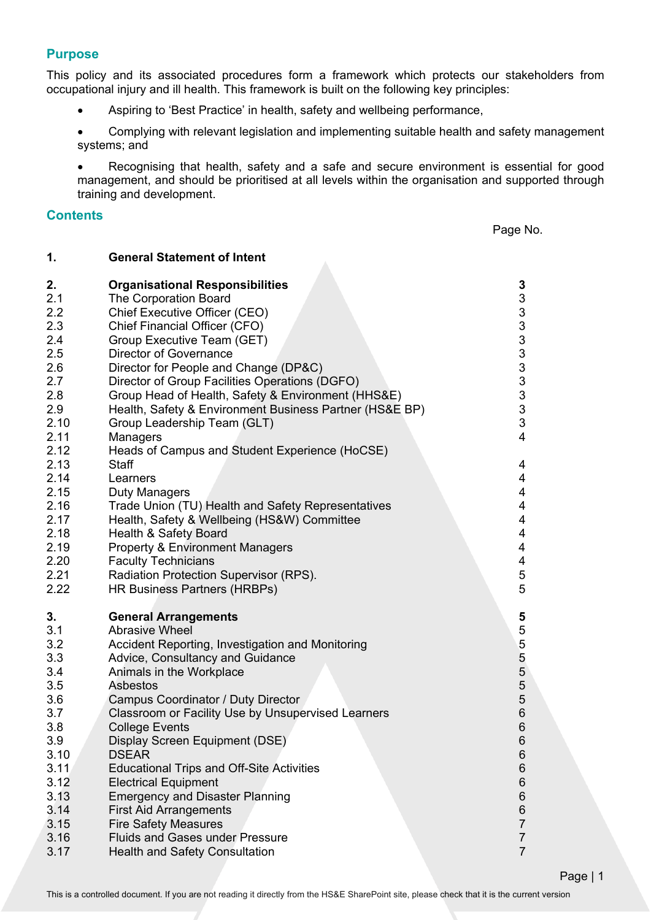# **Purpose**

This policy and its associated procedures form a framework which protects our stakeholders from occupational injury and ill health. This framework is built on the following key principles:

• Aspiring to 'Best Practice' in health, safety and wellbeing performance,

• Complying with relevant legislation and implementing suitable health and safety management systems; and

• Recognising that health, safety and a safe and secure environment is essential for good management, and should be prioritised at all levels within the organisation and supported through training and development.

#### **Contents**

Page No.

| 1.                                                                                                                                                                | <b>General Statement of Intent</b>                                                                                                                                                                                                                                                                                                                                                                                                                                                                                                                                                                                                                                                                                                                                                                                |                                                                                                                                 |
|-------------------------------------------------------------------------------------------------------------------------------------------------------------------|-------------------------------------------------------------------------------------------------------------------------------------------------------------------------------------------------------------------------------------------------------------------------------------------------------------------------------------------------------------------------------------------------------------------------------------------------------------------------------------------------------------------------------------------------------------------------------------------------------------------------------------------------------------------------------------------------------------------------------------------------------------------------------------------------------------------|---------------------------------------------------------------------------------------------------------------------------------|
| 2.<br>2.1<br>2.2<br>2.3<br>2.4<br>2.5<br>2.6<br>2.7<br>2.8<br>2.9<br>2.10<br>2.11<br>2.12<br>2.13<br>2.14<br>2.15<br>2.16<br>2.17<br>2.18<br>2.19<br>2.20<br>2.21 | <b>Organisational Responsibilities</b><br><b>The Corporation Board</b><br>Chief Executive Officer (CEO)<br>Chief Financial Officer (CFO)<br>Group Executive Team (GET)<br><b>Director of Governance</b><br>Director for People and Change (DP&C)<br>Director of Group Facilities Operations (DGFO)<br>Group Head of Health, Safety & Environment (HHS&E)<br>Health, Safety & Environment Business Partner (HS&E BP)<br>Group Leadership Team (GLT)<br>Managers<br>Heads of Campus and Student Experience (HoCSE)<br><b>Staff</b><br>Learners<br>Duty Managers<br>Trade Union (TU) Health and Safety Representatives<br>Health, Safety & Wellbeing (HS&W) Committee<br>Health & Safety Board<br><b>Property &amp; Environment Managers</b><br><b>Faculty Technicians</b><br>Radiation Protection Supervisor (RPS). | 3<br>3<br>3333333333<br>$\overline{4}$<br>4<br>4<br>$\overline{\mathbf{4}}$<br>4<br>4<br>4<br>$\overline{\mathbf{4}}$<br>4<br>5 |
| 2.22<br>3.<br>3.1<br>3.2<br>3.3<br>3.4<br>3.5<br>3.6<br>3.7<br>3.8<br>3.9<br>3.10<br>3.11<br>3.12<br>3.13<br>3.14<br>3.15<br>3.16<br>3.17                         | HR Business Partners (HRBPs)<br><b>General Arrangements</b><br><b>Abrasive Wheel</b><br>Accident Reporting, Investigation and Monitoring<br>Advice, Consultancy and Guidance<br>Animals in the Workplace<br>Asbestos<br>Campus Coordinator / Duty Director<br>Classroom or Facility Use by Unsupervised Learners<br><b>College Events</b><br>Display Screen Equipment (DSE)<br><b>DSEAR</b><br><b>Educational Trips and Off-Site Activities</b><br><b>Electrical Equipment</b><br><b>Emergency and Disaster Planning</b><br><b>First Aid Arrangements</b><br><b>Fire Safety Measures</b><br><b>Fluids and Gases under Pressure</b><br><b>Health and Safety Consultation</b>                                                                                                                                       | 5<br>55555666<br>6<br>6<br>6<br>6<br>6<br>6<br>$\overline{7}$<br>$\overline{7}$<br>$\overline{7}$                               |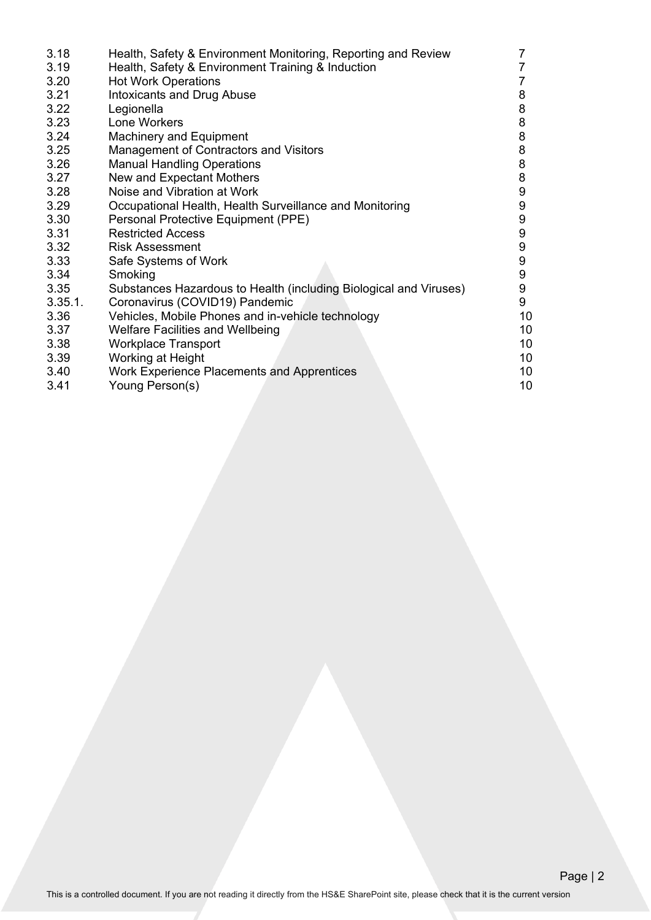| Health, Safety & Environment Training & Induction<br>3.19<br><b>Hot Work Operations</b><br>3.20<br>3.21<br><b>Intoxicants and Drug Abuse</b><br>3.22<br>Legionella<br>3.23<br>Lone Workers<br>3.24<br><b>Machinery and Equipment</b><br>3.25<br>Management of Contractors and Visitors<br><b>Manual Handling Operations</b><br>3.26 | 7  |
|-------------------------------------------------------------------------------------------------------------------------------------------------------------------------------------------------------------------------------------------------------------------------------------------------------------------------------------|----|
|                                                                                                                                                                                                                                                                                                                                     |    |
|                                                                                                                                                                                                                                                                                                                                     |    |
|                                                                                                                                                                                                                                                                                                                                     | 8  |
|                                                                                                                                                                                                                                                                                                                                     | 8  |
|                                                                                                                                                                                                                                                                                                                                     | 8  |
|                                                                                                                                                                                                                                                                                                                                     | 8  |
|                                                                                                                                                                                                                                                                                                                                     | 8  |
|                                                                                                                                                                                                                                                                                                                                     | 8  |
| New and Expectant Mothers<br>3.27                                                                                                                                                                                                                                                                                                   | 8  |
| Noise and Vibration at Work<br>3.28                                                                                                                                                                                                                                                                                                 | 9  |
| 3.29<br>Occupational Health, Health Surveillance and Monitoring                                                                                                                                                                                                                                                                     | 9  |
| 3.30<br>Personal Protective Equipment (PPE)                                                                                                                                                                                                                                                                                         | 9  |
| 3.31<br><b>Restricted Access</b>                                                                                                                                                                                                                                                                                                    | 9  |
| 3.32<br>Risk Assessment                                                                                                                                                                                                                                                                                                             | 9  |
| 3.33<br>Safe Systems of Work                                                                                                                                                                                                                                                                                                        | 9  |
| 3.34<br>Smoking                                                                                                                                                                                                                                                                                                                     | 9  |
| 3.35<br>Substances Hazardous to Health (including Biological and Viruses)                                                                                                                                                                                                                                                           | 9  |
| 3.35.1.<br>Coronavirus (COVID19) Pandemic                                                                                                                                                                                                                                                                                           | 9  |
| Vehicles, Mobile Phones and in-vehicle technology<br>3.36                                                                                                                                                                                                                                                                           | 10 |
| <b>Welfare Facilities and Wellbeing</b><br>3.37                                                                                                                                                                                                                                                                                     | 10 |
| 3.38<br><b>Workplace Transport</b>                                                                                                                                                                                                                                                                                                  | 10 |
| 3.39<br>Working at Height                                                                                                                                                                                                                                                                                                           | 10 |
| 3.40<br>Work Experience Placements and Apprentices                                                                                                                                                                                                                                                                                  | 10 |
| 3.41<br>Young Person(s)                                                                                                                                                                                                                                                                                                             | 10 |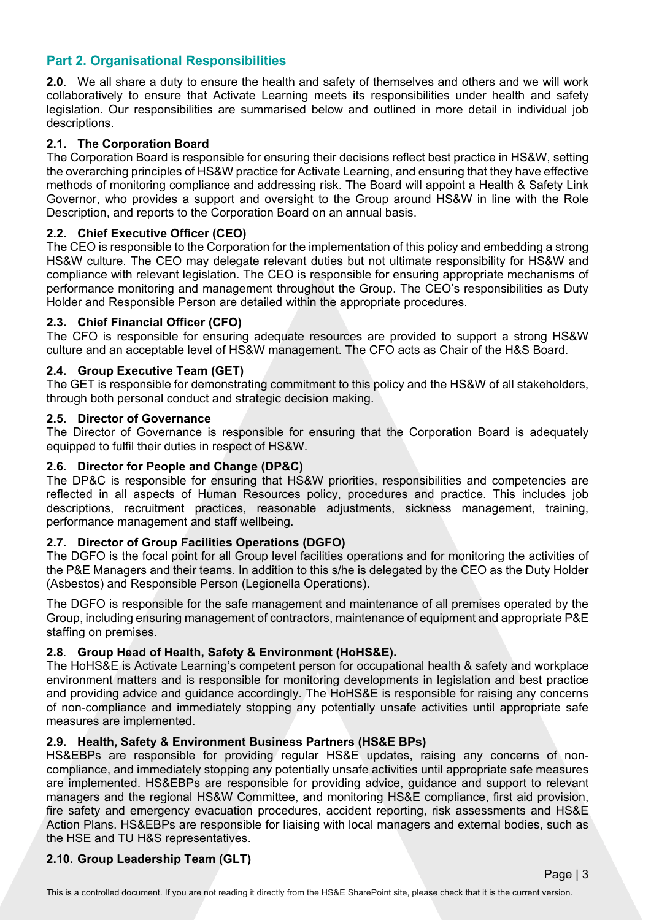# **Part 2. Organisational Responsibilities**

**2.0**. We all share a duty to ensure the health and safety of themselves and others and we will work collaboratively to ensure that Activate Learning meets its responsibilities under health and safety legislation. Our responsibilities are summarised below and outlined in more detail in individual job descriptions.

### **2.1. The Corporation Board**

The Corporation Board is responsible for ensuring their decisions reflect best practice in HS&W, setting the overarching principles of HS&W practice for Activate Learning, and ensuring that they have effective methods of monitoring compliance and addressing risk. The Board will appoint a Health & Safety Link Governor, who provides a support and oversight to the Group around HS&W in line with the Role Description, and reports to the Corporation Board on an annual basis.

#### **2.2. Chief Executive Officer (CEO)**

The CEO is responsible to the Corporation for the implementation of this policy and embedding a strong HS&W culture. The CEO may delegate relevant duties but not ultimate responsibility for HS&W and compliance with relevant legislation. The CEO is responsible for ensuring appropriate mechanisms of performance monitoring and management throughout the Group. The CEO's responsibilities as Duty Holder and Responsible Person are detailed within the appropriate procedures.

#### **2.3. Chief Financial Officer (CFO)**

The CFO is responsible for ensuring adequate resources are provided to support a strong HS&W culture and an acceptable level of HS&W management. The CFO acts as Chair of the H&S Board.

#### **2.4. Group Executive Team (GET)**

The GET is responsible for demonstrating commitment to this policy and the HS&W of all stakeholders, through both personal conduct and strategic decision making.

#### **2.5. Director of Governance**

The Director of Governance is responsible for ensuring that the Corporation Board is adequately equipped to fulfil their duties in respect of HS&W.

#### **2.6. Director for People and Change (DP&C)**

The DP&C is responsible for ensuring that HS&W priorities, responsibilities and competencies are reflected in all aspects of Human Resources policy, procedures and practice. This includes job descriptions, recruitment practices, reasonable adjustments, sickness management, training, performance management and staff wellbeing.

#### **2.7. Director of Group Facilities Operations (DGFO)**

The DGFO is the focal point for all Group level facilities operations and for monitoring the activities of the P&E Managers and their teams. In addition to this s/he is delegated by the CEO as the Duty Holder (Asbestos) and Responsible Person (Legionella Operations).

The DGFO is responsible for the safe management and maintenance of all premises operated by the Group, including ensuring management of contractors, maintenance of equipment and appropriate P&E staffing on premises.

### **2.8**. **Group Head of Health, Safety & Environment (HoHS&E).**

The HoHS&E is Activate Learning's competent person for occupational health & safety and workplace environment matters and is responsible for monitoring developments in legislation and best practice and providing advice and guidance accordingly. The HoHS&E is responsible for raising any concerns of non-compliance and immediately stopping any potentially unsafe activities until appropriate safe measures are implemented.

#### **2.9. Health, Safety & Environment Business Partners (HS&E BPs)**

HS&EBPs are responsible for providing regular HS&E updates, raising any concerns of noncompliance, and immediately stopping any potentially unsafe activities until appropriate safe measures are implemented. HS&EBPs are responsible for providing advice, guidance and support to relevant managers and the regional HS&W Committee, and monitoring HS&E compliance, first aid provision, fire safety and emergency evacuation procedures, accident reporting, risk assessments and HS&E Action Plans. HS&EBPs are responsible for liaising with local managers and external bodies, such as the HSE and TU H&S representatives.

### **2.10. Group Leadership Team (GLT)**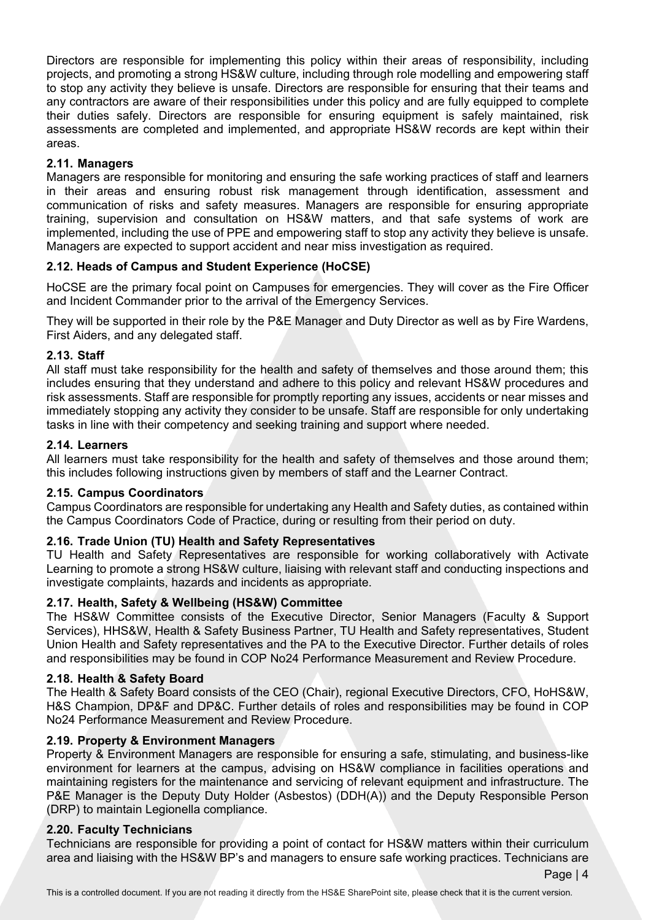Directors are responsible for implementing this policy within their areas of responsibility, including projects, and promoting a strong HS&W culture, including through role modelling and empowering staff to stop any activity they believe is unsafe. Directors are responsible for ensuring that their teams and any contractors are aware of their responsibilities under this policy and are fully equipped to complete their duties safely. Directors are responsible for ensuring equipment is safely maintained, risk assessments are completed and implemented, and appropriate HS&W records are kept within their areas.

# **2.11. Managers**

Managers are responsible for monitoring and ensuring the safe working practices of staff and learners in their areas and ensuring robust risk management through identification, assessment and communication of risks and safety measures. Managers are responsible for ensuring appropriate training, supervision and consultation on HS&W matters, and that safe systems of work are implemented, including the use of PPE and empowering staff to stop any activity they believe is unsafe. Managers are expected to support accident and near miss investigation as required.

# **2.12. Heads of Campus and Student Experience (HoCSE)**

HoCSE are the primary focal point on Campuses for emergencies. They will cover as the Fire Officer and Incident Commander prior to the arrival of the Emergency Services.

They will be supported in their role by the P&E Manager and Duty Director as well as by Fire Wardens, First Aiders, and any delegated staff.

### **2.13. Staff**

All staff must take responsibility for the health and safety of themselves and those around them; this includes ensuring that they understand and adhere to this policy and relevant HS&W procedures and risk assessments. Staff are responsible for promptly reporting any issues, accidents or near misses and immediately stopping any activity they consider to be unsafe. Staff are responsible for only undertaking tasks in line with their competency and seeking training and support where needed.

### **2.14. Learners**

All learners must take responsibility for the health and safety of themselves and those around them; this includes following instructions given by members of staff and the Learner Contract.

### **2.15. Campus Coordinators**

Campus Coordinators are responsible for undertaking any Health and Safety duties, as contained within the Campus Coordinators Code of Practice, during or resulting from their period on duty.

### **2.16. Trade Union (TU) Health and Safety Representatives**

TU Health and Safety Representatives are responsible for working collaboratively with Activate Learning to promote a strong HS&W culture, liaising with relevant staff and conducting inspections and investigate complaints, hazards and incidents as appropriate.

### **2.17. Health, Safety & Wellbeing (HS&W) Committee**

The HS&W Committee consists of the Executive Director, Senior Managers (Faculty & Support Services), HHS&W, Health & Safety Business Partner, TU Health and Safety representatives, Student Union Health and Safety representatives and the PA to the Executive Director. Further details of roles and responsibilities may be found in COP No24 Performance Measurement and Review Procedure.

### **2.18. Health & Safety Board**

The Health & Safety Board consists of the CEO (Chair), regional Executive Directors, CFO, HoHS&W, H&S Champion, DP&F and DP&C. Further details of roles and responsibilities may be found in COP No24 Performance Measurement and Review Procedure.

### **2.19. Property & Environment Managers**

Property & Environment Managers are responsible for ensuring a safe, stimulating, and business-like environment for learners at the campus, advising on HS&W compliance in facilities operations and maintaining registers for the maintenance and servicing of relevant equipment and infrastructure. The P&E Manager is the Deputy Duty Holder (Asbestos) (DDH(A)) and the Deputy Responsible Person (DRP) to maintain Legionella compliance.

### **2.20. Faculty Technicians**

Technicians are responsible for providing a point of contact for HS&W matters within their curriculum area and liaising with the HS&W BP's and managers to ensure safe working practices. Technicians are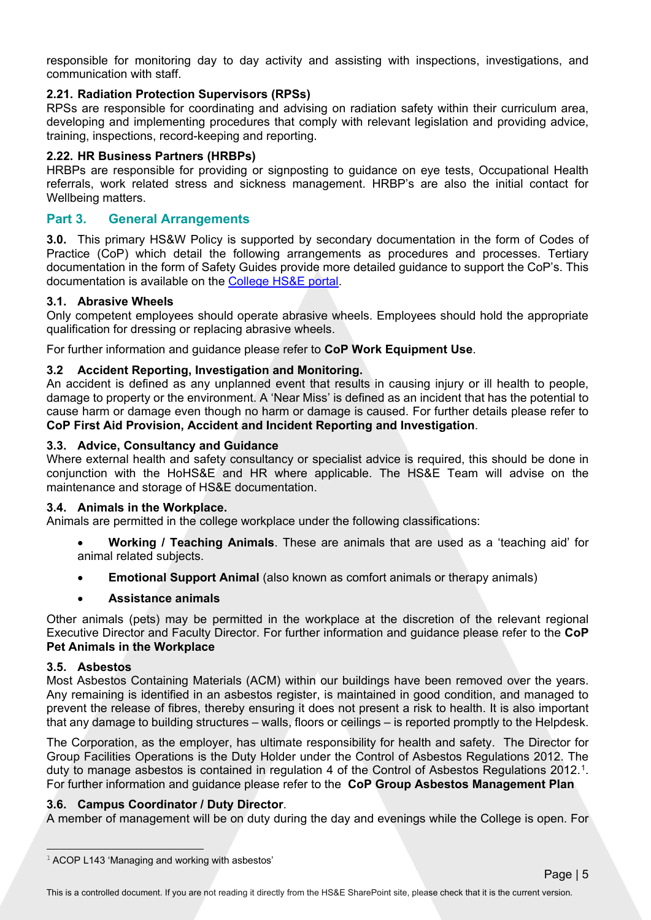responsible for monitoring day to day activity and assisting with inspections, investigations, and communication with staff.

# **2.21. Radiation Protection Supervisors (RPSs)**

RPSs are responsible for coordinating and advising on radiation safety within their curriculum area, developing and implementing procedures that comply with relevant legislation and providing advice, training, inspections, record-keeping and reporting.

# **2.22. HR Business Partners (HRBPs)**

HRBPs are responsible for providing or signposting to guidance on eye tests, Occupational Health referrals, work related stress and sickness management. HRBP's are also the initial contact for Wellbeing matters.

# **Part 3. General Arrangements**

**3.0.** This primary HS&W Policy is supported by secondary documentation in the form of Codes of Practice (CoP) which detail the following arrangements as procedures and processes. Tertiary documentation in the form of Safety Guides provide more detailed guidance to support the CoP's. This documentation is available on the [College HS&E portal.](https://activatelearning.sharepoint.com/sites/hse)

### **3.1. Abrasive Wheels**

Only competent employees should operate abrasive wheels. Employees should hold the appropriate qualification for dressing or replacing abrasive wheels.

For further information and guidance please refer to **CoP Work Equipment Use**.

# **3.2 Accident Reporting, Investigation and Monitoring.**

An accident is defined as any unplanned event that results in causing injury or ill health to people, damage to property or the environment. A 'Near Miss' is defined as an incident that has the potential to cause harm or damage even though no harm or damage is caused. For further details please refer to **CoP First Aid Provision, Accident and Incident Reporting and Investigation**.

### **3.3. Advice, Consultancy and Guidance**

Where external health and safety consultancy or specialist advice is required, this should be done in conjunction with the HoHS&E and HR where applicable. The HS&E Team will advise on the maintenance and storage of HS&E documentation.

### **3.4. Animals in the Workplace.**

Animals are permitted in the college workplace under the following classifications:

- **Working / Teaching Animals**. These are animals that are used as a 'teaching aid' for animal related subjects.
- **Emotional Support Animal** (also known as comfort animals or therapy animals)
- **Assistance animals**

Other animals (pets) may be permitted in the workplace at the discretion of the relevant regional Executive Director and Faculty Director. For further information and guidance please refer to the **CoP Pet Animals in the Workplace**

### **3.5. Asbestos**

Most Asbestos Containing Materials (ACM) within our buildings have been removed over the years. Any remaining is identified in an asbestos register, is maintained in good condition, and managed to prevent the release of fibres, thereby ensuring it does not present a risk to health. It is also important that any damage to building structures – walls, floors or ceilings – is reported promptly to the Helpdesk.

The Corporation, as the employer, has ultimate responsibility for health and safety. The Director for Group Facilities Operations is the Duty Holder under the Control of Asbestos Regulations 2012. The duty to manage asbestos is contained in regulation 4 of the Control of Asbestos Regulations 2012.<sup>1</sup>. For further information and guidance please refer to the **CoP Group Asbestos Management Plan**

### **3.6. Campus Coordinator / Duty Director**.

A member of management will be on duty during the day and evenings while the College is open. For

<span id="page-5-0"></span><sup>&</sup>lt;sup>1</sup> ACOP L143 'Managing and working with asbestos'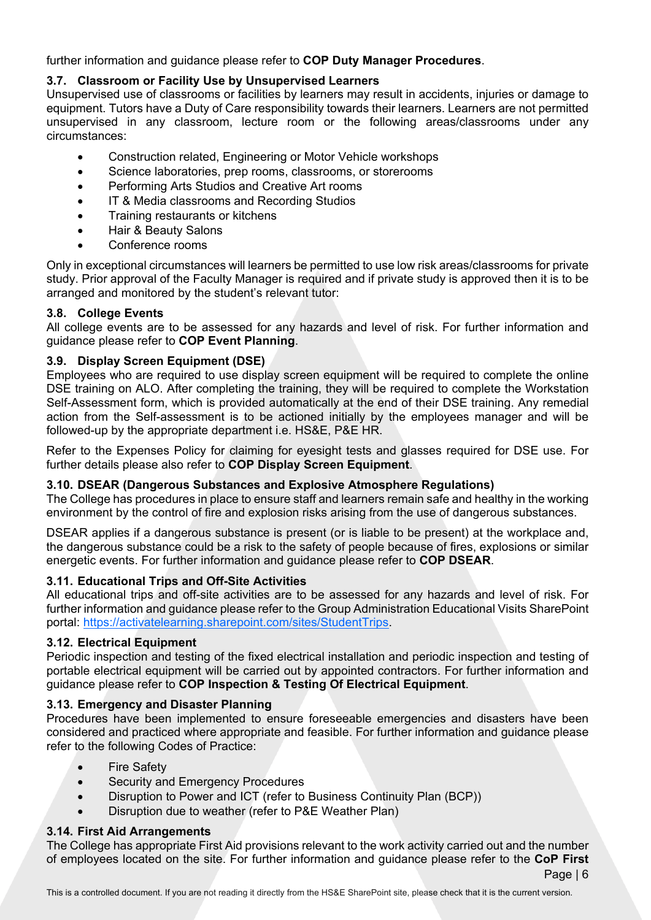further information and guidance please refer to **COP Duty Manager Procedures**.

# **3.7. Classroom or Facility Use by Unsupervised Learners**

Unsupervised use of classrooms or facilities by learners may result in accidents, injuries or damage to equipment. Tutors have a Duty of Care responsibility towards their learners. Learners are not permitted unsupervised in any classroom, lecture room or the following areas/classrooms under any circumstances:

- Construction related, Engineering or Motor Vehicle workshops
- Science laboratories, prep rooms, classrooms, or storerooms
- Performing Arts Studios and Creative Art rooms
- IT & Media classrooms and Recording Studios
- Training restaurants or kitchens
- Hair & Beauty Salons
- Conference rooms

Only in exceptional circumstances will learners be permitted to use low risk areas/classrooms for private study. Prior approval of the Faculty Manager is required and if private study is approved then it is to be arranged and monitored by the student's relevant tutor:

# **3.8. College Events**

All college events are to be assessed for any hazards and level of risk. For further information and guidance please refer to **COP Event Planning**.

# **3.9. Display Screen Equipment (DSE)**

Employees who are required to use display screen equipment will be required to complete the online DSE training on ALO. After completing the training, they will be required to complete the Workstation Self-Assessment form, which is provided automatically at the end of their DSE training. Any remedial action from the Self-assessment is to be actioned initially by the employees manager and will be followed-up by the appropriate department i.e. HS&E, P&E HR.

Refer to the Expenses Policy for claiming for eyesight tests and glasses required for DSE use. For further details please also refer to **[COP Display Screen Equipment](http://go.guildford.ac.uk/departments/healthsafety/Documents/DSE%20Policy%20April%202015.docx)**.

### **3.10. DSEAR (Dangerous Substances and Explosive Atmosphere Regulations)**

The College has procedures in place to ensure staff and learners remain safe and healthy in the working environment by the control of fire and explosion risks arising from the use of dangerous substances.

DSEAR applies if a dangerous substance is present (or is liable to be present) at the workplace and, the dangerous substance could be a risk to the safety of people because of fires, explosions or similar energetic events. For further information and guidance please refer to **COP DSEAR**.

# **3.11. Educational Trips and Off-Site Activities**

All educational trips and off-site activities are to be assessed for any hazards and level of risk. For further information and guidance please refer to the Group Administration Educational Visits SharePoint portal: https://activatelearning.sharepoint.com/sites/StudentTrips.

# **3.12. Electrical Equipment**

Periodic inspection and testing of the fixed electrical installation and periodic inspection and testing of portable electrical equipment will be carried out by appointed contractors. For further information and guidance please refer to **COP Inspection & Testing Of Electrical Equipment**.

# **3.13. Emergency and Disaster Planning**

Procedures have been implemented to ensure foreseeable emergencies and disasters have been considered and practiced where appropriate and feasible. For further information and guidance please refer to the following Codes of Practice:

- Fire Safety
- Security and Emergency Procedures
- Disruption to Power and ICT (refer to Business Continuity Plan (BCP))
- Disruption due to weather (refer to P&E Weather Plan)

# **3.14. First Aid Arrangements**

The College has appropriate First Aid provisions relevant to the work activity carried out and the number of employees located on the site. For further information and guidance please refer to the **CoP First**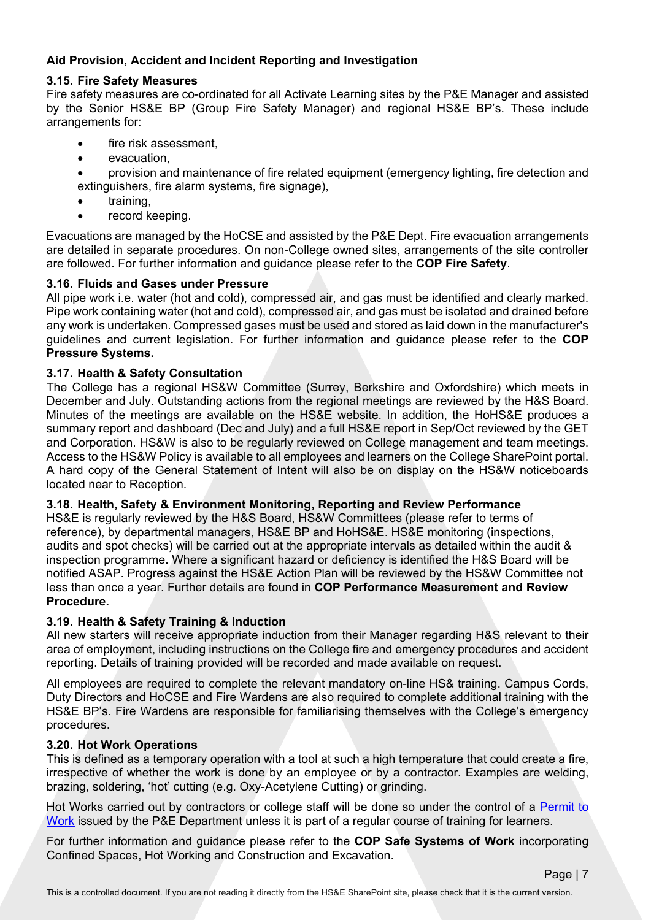# **Aid Provision, Accident and Incident Reporting and Investigation**

#### **3.15. Fire Safety Measures**

Fire safety measures are co-ordinated for all Activate Learning sites by the P&E Manager and assisted by the Senior HS&E BP (Group Fire Safety Manager) and regional HS&E BP's. These include arrangements for:

- fire risk assessment.
- evacuation,
- provision and maintenance of fire related equipment (emergency lighting, fire detection and extinguishers, fire alarm systems, fire signage),
- training.
- record keeping.

Evacuations are managed by the HoCSE and assisted by the P&E Dept. Fire evacuation arrangements are detailed in separate procedures. On non*-*College owned sites, arrangements of the site controller are followed. For further information and guidance please refer to the **COP Fire Safety**.

#### **3.16. Fluids and Gases under Pressure**

All pipe work i.e. water (hot and cold), compressed air, and gas must be identified and clearly marked. Pipe work containing water (hot and cold), compressed air, and gas must be isolated and drained before any work is undertaken. Compressed gases must be used and stored as laid down in the manufacturer's guidelines and current legislation. For further information and guidance please refer to the **COP Pressure Systems.**

#### **3.17. Health & Safety Consultation**

The College has a regional HS&W Committee (Surrey, Berkshire and Oxfordshire) which meets in December and July. Outstanding actions from the regional meetings are reviewed by the H&S Board. Minutes of the meetings are available on the HS&E website. In addition, the HoHS&E produces a summary report and dashboard (Dec and July) and a full HS&E report in Sep/Oct reviewed by the GET and Corporation. HS&W is also to be regularly reviewed on College management and team meetings. Access to the HS&W Policy is available to all employees and learners on the College SharePoint portal. A hard copy of the General Statement of Intent will also be on display on the HS&W noticeboards located near to Reception.

#### **3.18. Health, Safety & Environment Monitoring, Reporting and Review Performance**

HS&E is regularly reviewed by the H&S Board, HS&W Committees (please refer to terms of reference), by departmental managers, HS&E BP and HoHS&E. HS&E monitoring (inspections, audits and spot checks) will be carried out at the appropriate intervals as detailed within the audit & inspection programme. Where a significant hazard or deficiency is identified the H&S Board will be notified ASAP. Progress against the HS&E Action Plan will be reviewed by the HS&W Committee not less than once a year. Further details are found in **COP Performance Measurement and Review Procedure.** 

### **3.19. Health & Safety Training & Induction**

All new starters will receive appropriate induction from their Manager regarding H&S relevant to their area of employment, including instructions on the College fire and emergency procedures and accident reporting. Details of training provided will be recorded and made available on request.

All employees are required to complete the relevant mandatory on-line HS& training. Campus Cords, Duty Directors and HoCSE and Fire Wardens are also required to complete additional training with the HS&E BP's. Fire Wardens are responsible for familiarising themselves with the College's emergency procedures.

#### **3.20. Hot Work Operations**

This is defined as a temporary operation with a tool at such a high temperature that could create a fire, irrespective of whether the work is done by an employee or by a contractor. Examples are welding, brazing, soldering, 'hot' cutting (e.g. Oxy-Acetylene Cutting) or grinding.

Hot Works carried out by contractors or college staff will be done so under the control of a [Permit to](https://activatelearning.sharepoint.com/:b:/r/sites/hse/Codes%20of%20Practice%20and%20Guidance%20documents/COP%20No30%20-%20Permit%20to%20Work_20210304%20(1).pdf?csf=1&web=1&e=47OLsv)  [Work](https://activatelearning.sharepoint.com/:b:/r/sites/hse/Codes%20of%20Practice%20and%20Guidance%20documents/COP%20No30%20-%20Permit%20to%20Work_20210304%20(1).pdf?csf=1&web=1&e=47OLsv) issued by the P&E Department unless it is part of a regular course of training for learners.

For further information and guidance please refer to the **COP Safe Systems of Work** incorporating Confined Spaces, Hot Working and Construction and Excavation.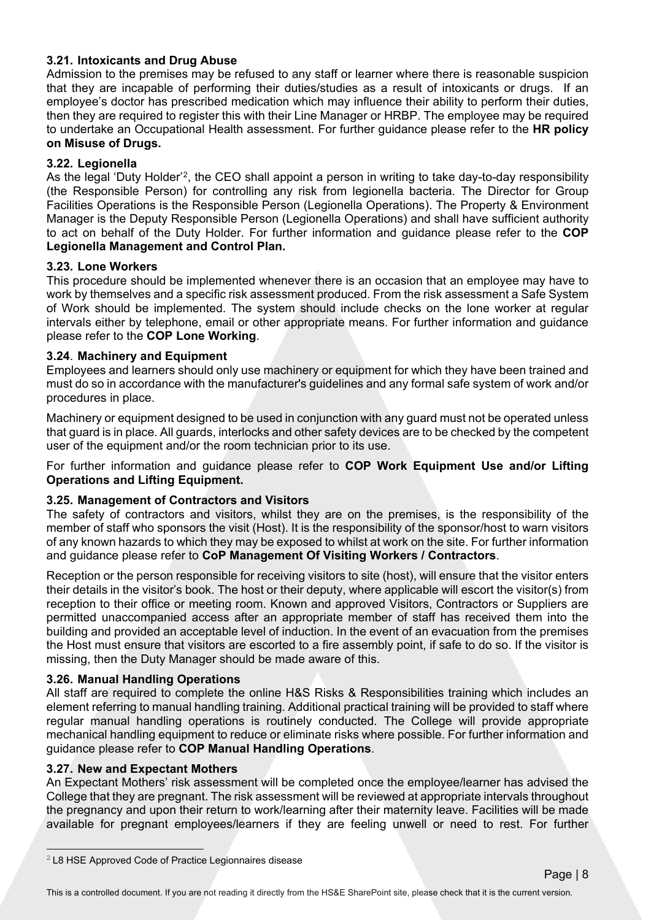### **3.21. Intoxicants and Drug Abuse**

Admission to the premises may be refused to any staff or learner where there is reasonable suspicion that they are incapable of performing their duties/studies as a result of intoxicants or drugs. If an employee's doctor has prescribed medication which may influence their ability to perform their duties, then they are required to register this with their Line Manager or HRBP. The employee may be required to undertake an Occupational Health assessment. For further guidance please refer to the **HR policy on Misuse of Drugs.** 

### **3.22. Legionella**

As the legal 'Duty Holder'[2,](#page-8-0) the CEO shall appoint a person in writing to take day-to-day responsibility (the Responsible Person) for controlling any risk from legionella bacteria. The Director for Group Facilities Operations is the Responsible Person (Legionella Operations). The Property & Environment Manager is the Deputy Responsible Person (Legionella Operations) and shall have sufficient authority to act on behalf of the Duty Holder. For further information and guidance please refer to the **COP Legionella Management and Control Plan.**

### **3.23. Lone Workers**

This procedure should be implemented whenever there is an occasion that an employee may have to work by themselves and a specific risk assessment produced. From the risk assessment a Safe System of Work should be implemented. The system should include checks on the lone worker at regular intervals either by telephone, email or other appropriate means. For further information and guidance please refer to the **COP Lone Working**.

# **3.24**. **Machinery and Equipment**

Employees and learners should only use machinery or equipment for which they have been trained and must do so in accordance with the manufacturer's guidelines and any formal safe system of work and/or procedures in place.

Machinery or equipment designed to be used in conjunction with any guard must not be operated unless that guard is in place. All guards, interlocks and other safety devices are to be checked by the competent user of the equipment and/or the room technician prior to its use.

For further information and guidance please refer to **COP Work Equipment Use and/or Lifting Operations and Lifting Equipment.**

### **3.25. Management of Contractors and Visitors**

The safety of contractors and visitors, whilst they are on the premises, is the responsibility of the member of staff who sponsors the visit (Host). It is the responsibility of the sponsor/host to warn visitors of any known hazards to which they may be exposed to whilst at work on the site. For further information and guidance please refer to **CoP Management Of Visiting Workers / Contractors**.

Reception or the person responsible for receiving visitors to site (host), will ensure that the visitor enters their details in the visitor's book. The host or their deputy, where applicable will escort the visitor(s) from reception to their office or meeting room. Known and approved Visitors, Contractors or Suppliers are permitted unaccompanied access after an appropriate member of staff has received them into the building and provided an acceptable level of induction. In the event of an evacuation from the premises the Host must ensure that visitors are escorted to a fire assembly point, if safe to do so. If the visitor is missing, then the Duty Manager should be made aware of this.

### **3.26. Manual Handling Operations**

All staff are required to complete the online H&S Risks & Responsibilities training which includes an element referring to manual handling training. Additional practical training will be provided to staff where regular manual handling operations is routinely conducted. The College will provide appropriate mechanical handling equipment to reduce or eliminate risks where possible. For further information and guidance please refer to **COP Manual Handling Operations**.

### **3.27. New and Expectant Mothers**

An Expectant Mothers' risk assessment will be completed once the employee/learner has advised the College that they are pregnant. The risk assessment will be reviewed at appropriate intervals throughout the pregnancy and upon their return to work/learning after their maternity leave. Facilities will be made available for pregnant employees/learners if they are feeling unwell or need to rest. For further

<span id="page-8-0"></span><sup>2</sup> L8 HSE Approved Code of Practice Legionnaires disease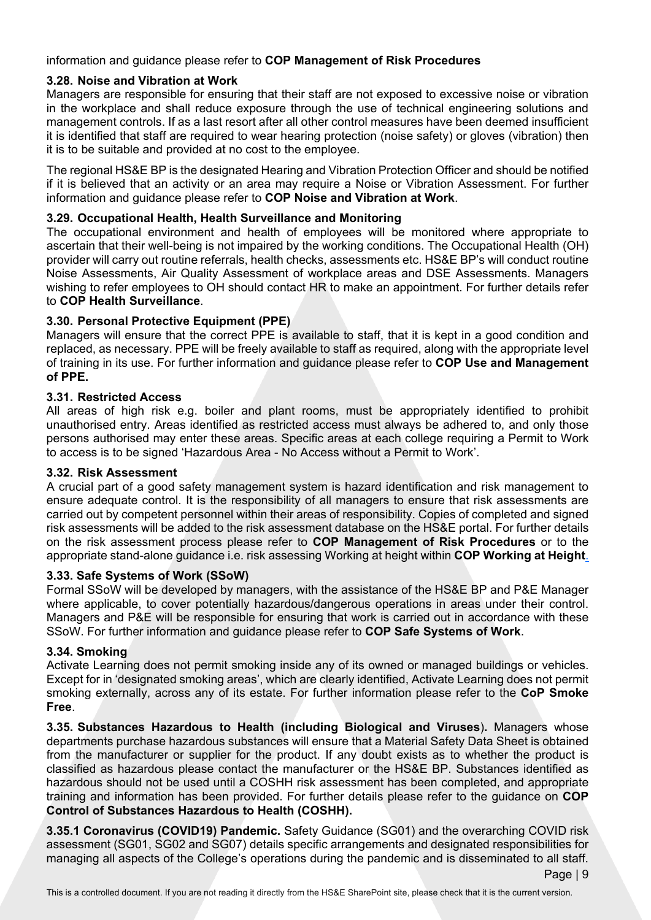# information and guidance please refer to **COP Management of Risk Procedures**

# **3.28. Noise and Vibration at Work**

Managers are responsible for ensuring that their staff are not exposed to excessive noise or vibration in the workplace and shall reduce exposure through the use of technical engineering solutions and management controls. If as a last resort after all other control measures have been deemed insufficient it is identified that staff are required to wear hearing protection (noise safety) or gloves (vibration) then it is to be suitable and provided at no cost to the employee.

The regional HS&E BP is the designated Hearing and Vibration Protection Officer and should be notified if it is believed that an activity or an area may require a Noise or Vibration Assessment. For further information and guidance please refer to **COP Noise and Vibration at Work**.

### **3.29. Occupational Health, Health Surveillance and Monitoring**

The occupational environment and health of employees will be monitored where appropriate to ascertain that their well-being is not impaired by the working conditions. The Occupational Health (OH) provider will carry out routine referrals, health checks, assessments etc. HS&E BP's will conduct routine Noise Assessments, Air Quality Assessment of workplace areas and DSE Assessments. Managers wishing to refer employees to OH should contact HR to make an appointment. For further details refer to **COP Health Surveillance**.

# **3.30. Personal Protective Equipment (PPE)**

Managers will ensure that the correct PPE is available to staff, that it is kept in a good condition and replaced, as necessary. PPE will be freely available to staff as required, along with the appropriate level of training in its use. For further information and guidance please refer to **COP Use and Management of PPE.**

# **3.31. Restricted Access**

All areas of high risk e.g. boiler and plant rooms, must be appropriately identified to prohibit unauthorised entry. Areas identified as restricted access must always be adhered to, and only those persons authorised may enter these areas. Specific areas at each college requiring a Permit to Work to access is to be signed 'Hazardous Area - No Access without a Permit to Work'.

### **3.32. Risk Assessment**

A crucial part of a good safety management system is hazard identification and risk management to ensure adequate control. It is the responsibility of all managers to ensure that risk assessments are carried out by competent personnel within their areas of responsibility. Copies of completed and signed risk assessments will be added to the risk assessment database on the HS&E portal. For further details on the risk assessment process please refer to **COP Management of Risk Procedures** or to the appropriate stand-alone guidance i.e. risk assessing Working at height within **COP Working at Height**.

### **3.33. Safe Systems of Work (SSoW)**

Formal SSoW will be developed by managers, with the assistance of the HS&E BP and P&E Manager where applicable, to cover potentially hazardous/dangerous operations in areas under their control. Managers and P&E will be responsible for ensuring that work is carried out in accordance with these SSoW. For further information and guidance please refer to **COP Safe Systems of Work**.

### **3.34. Smoking**

Activate Learning does not permit smoking inside any of its owned or managed buildings or vehicles. Except for in 'designated smoking areas', which are clearly identified, Activate Learning does not permit smoking externally, across any of its estate. For further information please refer to the **CoP Smoke Free**.

**3.35. Substances Hazardous to Health (including Biological and Viruses**)**.** Managers whose departments purchase hazardous substances will ensure that a Material Safety Data Sheet is obtained from the manufacturer or supplier for the product. If any doubt exists as to whether the product is classified as hazardous please contact the manufacturer or the HS&E BP. Substances identified as hazardous should not be used until a COSHH risk assessment has been completed, and appropriate training and information has been provided. For further details please refer to the guidance on **COP Control of Substances Hazardous to Health (COSHH).**

**3.35.1 Coronavirus (COVID19) Pandemic.** Safety Guidance (SG01) and the overarching COVID risk assessment (SG01, SG02 and SG07) details specific arrangements and designated responsibilities for managing all aspects of the College's operations during the pandemic and is disseminated to all staff.